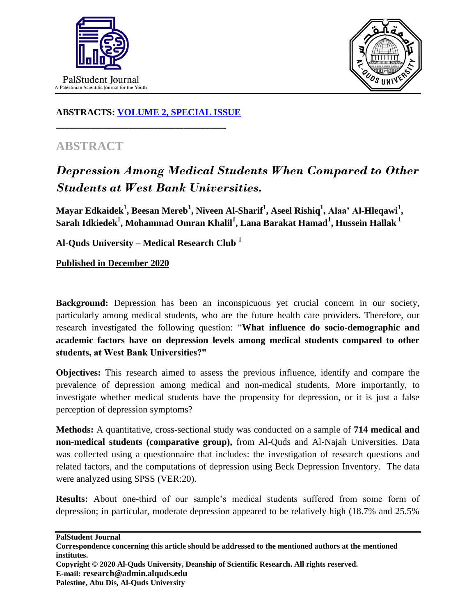



## **ABSTRACTS: [VOLUME 2, SPECIAL ISSUE](https://www.thelancet.com/journals/lancet/issue/vol393nonull/PIIS0140-6736(19)X0012-4)**

**\_\_\_\_\_\_\_\_\_\_\_\_\_\_\_\_\_\_\_\_\_\_\_\_\_\_\_\_\_\_\_\_\_\_\_\_\_\_\_\_**

## **ABSTRACT**

## *Depression Among Medical Students When Compared to Other Students at West Bank Universities.*

**Mayar Edkaidek<sup>1</sup> , Beesan Mereb<sup>1</sup> , Niveen Al-Sharif<sup>1</sup> , Aseel Rishiq<sup>1</sup> , Alaa' Al-Hleqawi<sup>1</sup> , Sarah Idkiedek<sup>1</sup> , Mohammad Omran Khalil<sup>1</sup> , Lana Barakat Hamad<sup>1</sup> , Hussein Hallak <sup>1</sup>**

**Al-Quds University – Medical Research Club <sup>1</sup>**

**Published in December 2020**

**Background:** Depression has been an inconspicuous yet crucial concern in our society, particularly among medical students, who are the future health care providers. Therefore, our research investigated the following question: "**What influence do socio-demographic and academic factors have on depression levels among medical students compared to other students, at West Bank Universities?"**

**Objectives:** This research aimed to assess the previous influence, identify and compare the prevalence of depression among medical and non-medical students. More importantly, to investigate whether medical students have the propensity for depression, or it is just a false perception of depression symptoms?

**Methods:** A quantitative, cross-sectional study was conducted on a sample of **714 medical and non-medical students (comparative group),** from Al-Quds and Al-Najah Universities. Data was collected using a questionnaire that includes: the investigation of research questions and related factors, and the computations of depression using Beck Depression Inventory.The data were analyzed using SPSS (VER:20).

**Results:** About one-third of our sample's medical students suffered from some form of depression; in particular, moderate depression appeared to be relatively high (18.7% and 25.5%

**PalStudent Journal**

**Copyright © 2020 Al-Quds University, Deanship of Scientific Research. All rights reserved. E-mail: research@admin.alquds.edu Palestine, Abu Dis, Al-Quds University**

**Correspondence concerning this article should be addressed to the mentioned authors at the mentioned institutes.**